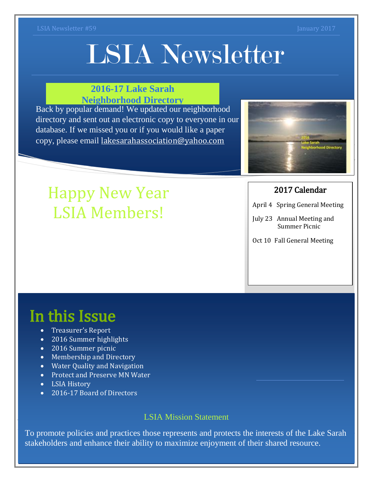# LSIA Newsletter

### **2016-17 Lake Sarah Neighborhood Directory**

Back by popular demand! We updated our neighborhood directory and sent out an electronic copy to everyone in our database. If we missed you or if you would like a paper copy, please email [lakesarahassociation@yahoo.com](mailto:lakesarahassociation@yahoo.com)



### 2017 Calendar

- April 4 Spring General Meeting
- July 23 Annual Meeting and Summer Picnic
- Oct 10 Fall General Meeting

# Happy New Year LSIA Members!

# In this Issue

- Treasurer's Report
- 2016 Summer highlights
- 2016 Summer picnic
- Membership and Directory
- Water Quality and Navigation
- Protect and Preserve MN Water
- LSIA History
- 2016-17 Board of Directors

### LSIA Mission Statement

To promote policies and practices those represents and protects the interests of the Lake Sarah stakeholders and enhance their ability to maximize enjoyment of their shared resource.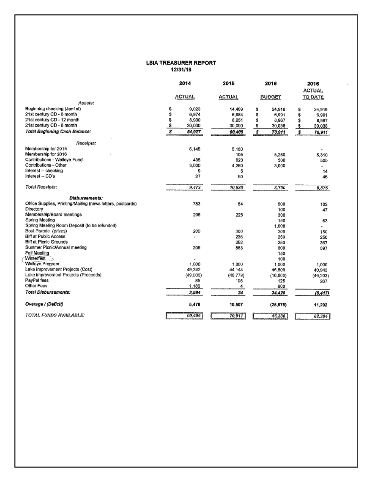#### **LSIA TREASURER REPORT** 12/31/16

|                                                             | 2014          | 2015          | 2016          | 2016                    |
|-------------------------------------------------------------|---------------|---------------|---------------|-------------------------|
|                                                             |               |               |               | <b>ACTUAL</b>           |
|                                                             | <b>ACTUAL</b> | <b>ACTUAL</b> | <b>BUDGET</b> | <b>TO DATE</b>          |
| Assets:                                                     |               |               |               |                         |
| Beginning checking (Jan1st)                                 | \$<br>9,023   | 14.469        | \$<br>24,916  | 24,916<br>\$            |
| 21st century CD - 6 month                                   | \$<br>6,974   | 6,984         | \$<br>6,991   | \$<br>6,991             |
| 21st century CD - 12 month                                  | \$<br>8,930   | 8,951         | \$<br>8,967   | Ś<br>8,967              |
| 21st century CD - 6 month                                   | \$<br>30,000  | 30,000        | \$<br>30,038  | 30,038                  |
| <b>Total Beginning Cash Balance:</b>                        | S<br>54,927   | 60,405        | \$<br>70,911  | $\mathcal{F}$<br>70,911 |
| Receipts:                                                   |               |               |               |                         |
| Membership for 2015                                         | 5.145         | 5,180         |               |                         |
| Membership for 2016                                         |               | 105           | 5,250         | 5,310                   |
| Contributions - Walleye Fund                                | 435           | 920           | 500           | 505                     |
| Contributions - Other                                       | 3,000         | 4,260         | 3,000         | ۰                       |
| Interest -- checking                                        | 9             | 5             |               | 14                      |
| Interest -- CD's                                            | 27            | 60            |               | 46                      |
| <b>Total Receipts:</b>                                      | 9,472         | 10,530        | 8,750         | 5,875                   |
|                                                             |               |               |               |                         |
| Disbursements:                                              |               |               |               |                         |
| Office Supplies, Printing/Mailing (news letters, postcards) | 783           | 54            | 500           | 102                     |
| Directory                                                   |               |               | 100           | 47                      |
| Membership/Board meetings                                   | 296           | 225           | 300           |                         |
| Spring Meeting                                              |               |               | 150           | 63                      |
| Spring Meeting Room Deposit (to be refunded)                |               |               | 1,000         |                         |
| Boat Parade (prizes)                                        | 200           | 200           | 200           | 150                     |
| <b>Biff at Public Access</b>                                |               | 236           | 250           | 250                     |
| Biff at Picnic Grounds                                      |               | 252           | 250           | 367                     |
| Summer Picnic/Annual meeting                                | 209           | 583           | 600           | 597                     |
| Fall Meeting                                                |               |               | 150           |                         |
| Winterfest                                                  |               |               | 100           |                         |
| Walleye Program                                             | 1.000         | 1.000         | 1,000         | 1,000                   |
| Lake Improvement Projects (Cost)                            | 49,242        | 44,144        | 46,500        | 40,943                  |
| Lake improvement Projects (Proceeds)                        | (49,006)      | (46, 779)     | (16, 800)     | (49, 203)               |
| PayPal fees                                                 | 85            | 105           | 125           | 267                     |
| Other Fees                                                  | 1,186         | 4             | 600           |                         |
| <b>Total Disbursements:</b>                                 | 3,994         | 24            | 34,425        | (5, 417)                |
| Overage / (Deficit)                                         | 5,478         | 10,507        | (25, 675)     | 11,292                  |
| TOTAL FUNDS AVAILABLE:                                      | 60,404        | 70,911        | 45,236        | 82,204                  |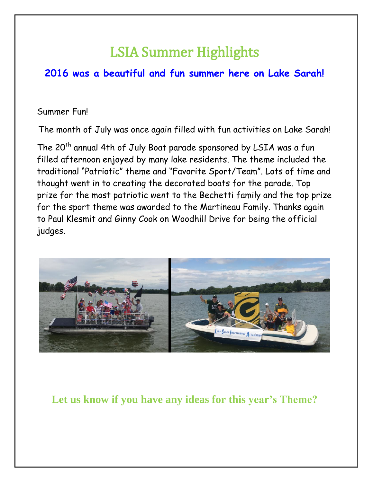# LSIA Summer Highlights

### **2016 was a beautiful and fun summer here on Lake Sarah!**

### Summer Fun!

The month of July was once again filled with fun activities on Lake Sarah!

The 20<sup>th</sup> annual 4th of July Boat parade sponsored by LSIA was a fun filled afternoon enjoyed by many lake residents. The theme included the traditional "Patriotic" theme and "Favorite Sport/Team". Lots of time and thought went in to creating the decorated boats for the parade. Top prize for the most patriotic went to the Bechetti family and the top prize for the sport theme was awarded to the Martineau Family. Thanks again to Paul Klesmit and Ginny Cook on Woodhill Drive for being the official judges.



**Let us know if you have any ideas for this year's Theme?**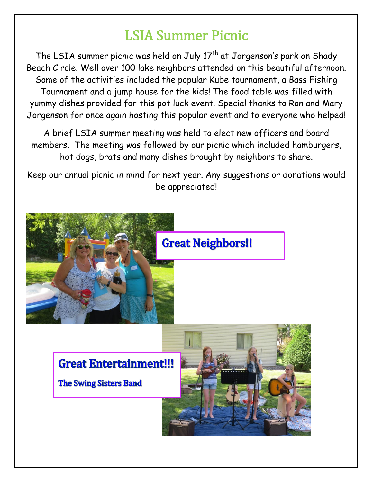# LSIA Summer Picnic

The LSIA summer picnic was held on July 17<sup>th</sup> at Jorgenson's park on Shady Beach Circle. Well over 100 lake neighbors attended on this beautiful afternoon. Some of the activities included the popular Kube tournament, a Bass Fishing Tournament and a jump house for the kids! The food table was filled with yummy dishes provided for this pot luck event. Special thanks to Ron and Mary Jorgenson for once again hosting this popular event and to everyone who helped!

A brief LSIA summer meeting was held to elect new officers and board members. The meeting was followed by our picnic which included hamburgers, hot dogs, brats and many dishes brought by neighbors to share.

Keep our annual picnic in mind for next year. Any suggestions or donations would be appreciated!



## **Great Neighbors!!**

**Great Entertainment!!!** 

**The Swing Sisters Band** 

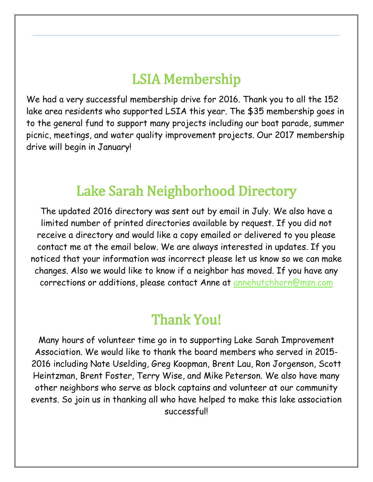# LSIA Membership

 $\overline{a}$ 

We had a very successful membership drive for 2016. Thank you to all the 152 lake area residents who supported LSIA this year. The \$35 membership goes in to the general fund to support many projects including our boat parade, summer picnic, meetings, and water quality improvement projects. Our 2017 membership drive will begin in January!

# Lake Sarah Neighborhood Directory

The updated 2016 directory was sent out by email in July. We also have a limited number of printed directories available by request. If you did not receive a directory and would like a copy emailed or delivered to you please contact me at the email below. We are always interested in updates. If you noticed that your information was incorrect please let us know so we can make changes. Also we would like to know if a neighbor has moved. If you have any corrections or additions, please contact Anne at [annehutchhorn@msn.com](mailto:annehutchhorn@msn.com)

# Thank You!

Many hours of volunteer time go in to supporting Lake Sarah Improvement Association. We would like to thank the board members who served in 2015- 2016 including Nate Uselding, Greg Koopman, Brent Lau, Ron Jorgenson, Scott Heintzman, Brent Foster, Terry Wise, and Mike Peterson. We also have many other neighbors who serve as block captains and volunteer at our community events. So join us in thanking all who have helped to make this lake association successful!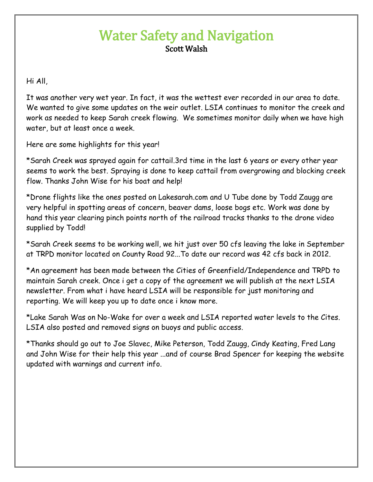## Water Safety and Navigation Scott Walsh

Hi All,

It was another very wet year. In fact, it was the wettest ever recorded in our area to date. We wanted to give some updates on the weir outlet. LSIA continues to monitor the creek and work as needed to keep Sarah creek flowing. We sometimes monitor daily when we have high water, but at least once a week.

Here are some highlights for this year!

\*Sarah Creek was sprayed again for cattail.3rd time in the last 6 years or every other year seems to work the best. Spraying is done to keep cattail from overgrowing and blocking creek flow. Thanks John Wise for his boat and help!

\*Drone flights like the ones posted on Lakesarah.com and U Tube done by Todd Zaugg are very helpful in spotting areas of concern, beaver dams, loose bogs etc. Work was done by hand this year clearing pinch points north of the railroad tracks thanks to the drone video supplied by Todd!

\*Sarah Creek seems to be working well, we hit just over 50 cfs leaving the lake in September at TRPD monitor located on County Road 92...To date our record was 42 cfs back in 2012.

\*An agreement has been made between the Cities of Greenfield/Independence and TRPD to maintain Sarah creek. Once i get a copy of the agreement we will publish at the next LSIA newsletter. From what i have heard LSIA will be responsible for just monitoring and reporting. We will keep you up to date once i know more.

\*Lake Sarah Was on No-Wake for over a week and LSIA reported water levels to the Cites. LSIA also posted and removed signs on buoys and public access.

\*Thanks should go out to Joe Slavec, Mike Peterson, Todd Zaugg, Cindy Keating, Fred Lang and John Wise for their help this year ...and of course Brad Spencer for keeping the website updated with warnings and current info.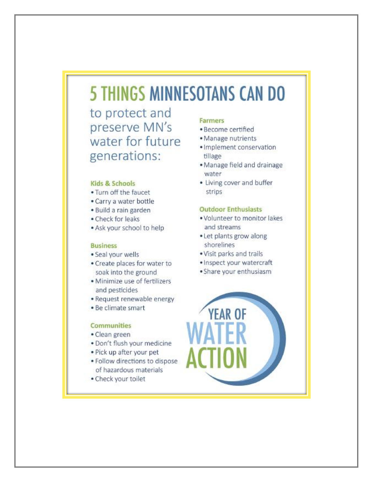# **5 THINGS MINNESOTANS CAN DO**

to protect and preserve MN's water for future generations:

#### Kids & Schools

- . Turn off the faucet
- · Carry a water bottle
- · Build a rain garden
- · Check for leaks
- . Ask your school to help

#### **Business**

- · Seal your wells
- . Create places for water to soak into the ground
- · Minimize use of fertilizers and pesticides
- · Request renewable energy
- · Be climate smart

#### **Communities**

- · Clean green
- · Don't flush your medicine
- · Pick up after your pet
- · Follow directions to dispose of hazardous materials
- · Check your toilet

#### Farmers

- · Become certified
- · Manage nutrients
- · Implement conservation tillage
- · Manage field and drainage water
- Living cover and buffer strips

#### **Outdoor Enthusiasts**

- . Volunteer to monitor lakes and streams
- Let plants grow along shorelines
- · Visit parks and trails
- · Inspect your watercraft
- · Share your enthusiasm

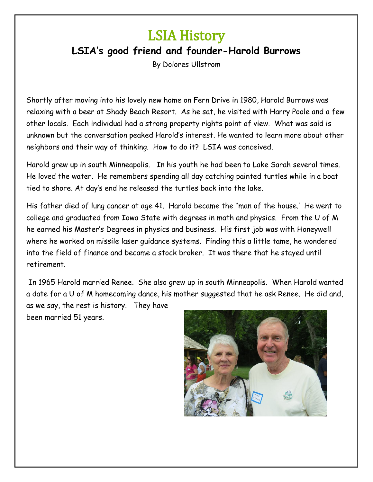# LSIA History

### **LSIA's good friend and founder-Harold Burrows**

By Dolores Ullstrom

Shortly after moving into his lovely new home on Fern Drive in 1980, Harold Burrows was relaxing with a beer at Shady Beach Resort. As he sat, he visited with Harry Poole and a few other locals. Each individual had a strong property rights point of view. What was said is unknown but the conversation peaked Harold's interest. He wanted to learn more about other neighbors and their way of thinking. How to do it? LSIA was conceived.

Harold grew up in south Minneapolis. In his youth he had been to Lake Sarah several times. He loved the water. He remembers spending all day catching painted turtles while in a boat tied to shore. At day's end he released the turtles back into the lake.

His father died of lung cancer at age 41. Harold became the "man of the house.' He went to college and graduated from Iowa State with degrees in math and physics. From the U of M he earned his Master's Degrees in physics and business. His first job was with Honeywell where he worked on missile laser guidance systems. Finding this a little tame, he wondered into the field of finance and became a stock broker. It was there that he stayed until retirement.

In 1965 Harold married Renee. She also grew up in south Minneapolis. When Harold wanted a date for a U of M homecoming dance, his mother suggested that he ask Renee. He did and, as we say, the rest is history. They have been married 51 years.

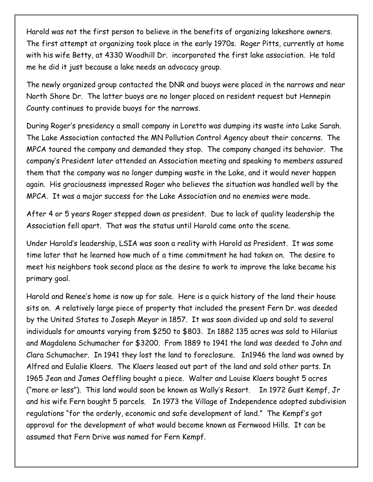Harold was not the first person to believe in the benefits of organizing lakeshore owners. The first attempt at organizing took place in the early 1970s. Roger Pitts, currently at home with his wife Betty, at 4330 Woodhill Dr. incorporated the first lake association. He told me he did it just because a lake needs an advocacy group.

The newly organized group contacted the DNR and buoys were placed in the narrows and near North Shore Dr. The latter buoys are no longer placed on resident request but Hennepin County continues to provide buoys for the narrows.

During Roger's presidency a small company in Loretto was dumping its waste into Lake Sarah. The Lake Association contacted the MN Pollution Control Agency about their concerns. The MPCA toured the company and demanded they stop. The company changed its behavior. The company's President later attended an Association meeting and speaking to members assured them that the company was no longer dumping waste in the Lake, and it would never happen again. His graciousness impressed Roger who believes the situation was handled well by the MPCA. It was a major success for the Lake Association and no enemies were made.

After 4 or 5 years Roger stepped down as president. Due to lack of quality leadership the Association fell apart. That was the status until Harold came onto the scene.

Under Harold's leadership, LSIA was soon a reality with Harold as President. It was some time later that he learned how much of a time commitment he had taken on. The desire to meet his neighbors took second place as the desire to work to improve the lake became his primary goal.

Harold and Renee's home is now up for sale. Here is a quick history of the land their house sits on. A relatively large piece of property that included the present Fern Dr. was deeded by the United States to Joseph Meyor in 1857. It was soon divided up and sold to several individuals for amounts varying from \$250 to \$803. In 1882 135 acres was sold to Hilarius and Magdalena Schumacher for \$3200. From 1889 to 1941 the land was deeded to John and Clara Schumacher. In 1941 they lost the land to foreclosure. In1946 the land was owned by Alfred and Eulalie Klaers. The Klaers leased out part of the land and sold other parts. In 1965 Jean and James Oeffling bought a piece. Walter and Louise Klaers bought 5 acres ("more or less"). This land would soon be known as Wally's Resort. In 1972 Gust Kempf, Jr and his wife Fern bought 5 parcels. In 1973 the Village of Independence adopted subdivision regulations "for the orderly, economic and safe development of land." The Kempf's got approval for the development of what would become known as Fernwood Hills. It can be assumed that Fern Drive was named for Fern Kempf.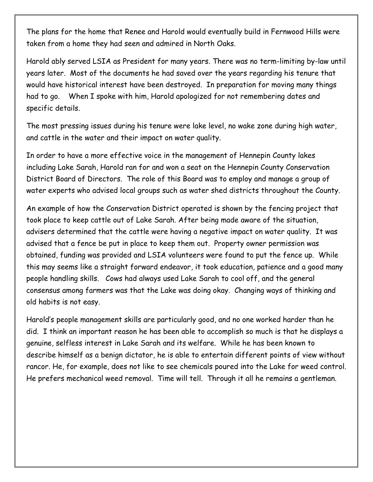The plans for the home that Renee and Harold would eventually build in Fernwood Hills were taken from a home they had seen and admired in North Oaks.

Harold ably served LSIA as President for many years. There was no term-limiting by-law until years later. Most of the documents he had saved over the years regarding his tenure that would have historical interest have been destroyed. In preparation for moving many things had to go. When I spoke with him, Harold apologized for not remembering dates and specific details.

The most pressing issues during his tenure were lake level, no wake zone during high water, and cattle in the water and their impact on water quality.

In order to have a more effective voice in the management of Hennepin County lakes including Lake Sarah, Harold ran for and won a seat on the Hennepin County Conservation District Board of Directors. The role of this Board was to employ and manage a group of water experts who advised local groups such as water shed districts throughout the County.

An example of how the Conservation District operated is shown by the fencing project that took place to keep cattle out of Lake Sarah. After being made aware of the situation, advisers determined that the cattle were having a negative impact on water quality. It was advised that a fence be put in place to keep them out. Property owner permission was obtained, funding was provided and LSIA volunteers were found to put the fence up. While this may seems like a straight forward endeavor, it took education, patience and a good many people handling skills. Cows had always used Lake Sarah to cool off, and the general consensus among farmers was that the Lake was doing okay. Changing ways of thinking and old habits is not easy.

Harold's people management skills are particularly good, and no one worked harder than he did. I think an important reason he has been able to accomplish so much is that he displays a genuine, selfless interest in Lake Sarah and its welfare. While he has been known to describe himself as a benign dictator, he is able to entertain different points of view without rancor. He, for example, does not like to see chemicals poured into the Lake for weed control. He prefers mechanical weed removal. Time will tell. Through it all he remains a gentleman.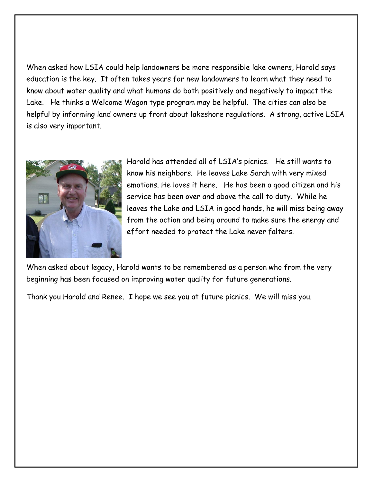When asked how LSIA could help landowners be more responsible lake owners, Harold says education is the key. It often takes years for new landowners to learn what they need to know about water quality and what humans do both positively and negatively to impact the Lake. He thinks a Welcome Wagon type program may be helpful. The cities can also be helpful by informing land owners up front about lakeshore regulations. A strong, active LSIA is also very important.



Harold has attended all of LSIA's picnics. He still wants to know his neighbors. He leaves Lake Sarah with very mixed emotions. He loves it here. He has been a good citizen and his service has been over and above the call to duty. While he leaves the Lake and LSIA in good hands, he will miss being away from the action and being around to make sure the energy and effort needed to protect the Lake never falters.

When asked about legacy, Harold wants to be remembered as a person who from the very beginning has been focused on improving water quality for future generations.

Thank you Harold and Renee. I hope we see you at future picnics. We will miss you.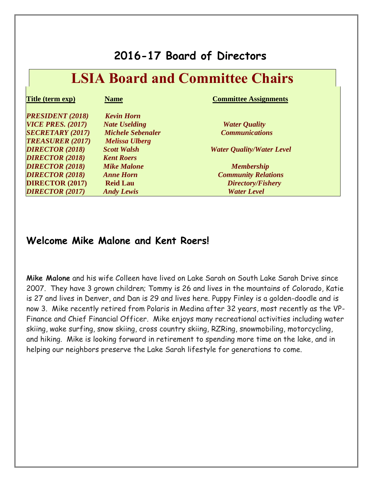### **2016-17 Board of Directors**

| <b>LSIA Board and Committee Chairs</b> |                          |                                  |  |  |
|----------------------------------------|--------------------------|----------------------------------|--|--|
| <b>Title (term exp)</b>                | <b>Name</b>              | <b>Committee Assignments</b>     |  |  |
| <b>PRESIDENT (2018)</b>                | <b>Kevin Horn</b>        |                                  |  |  |
| <b>VICE PRES. (2017)</b>               | <b>Nate Uselding</b>     | <b>Water Quality</b>             |  |  |
| <b>SECRETARY (2017)</b>                | <b>Michele Sebenaler</b> | <b>Communications</b>            |  |  |
| <b>TREASURER (2017)</b>                | <b>Melissa Ulberg</b>    |                                  |  |  |
| <b>DIRECTOR (2018)</b>                 | <b>Scott Walsh</b>       | <b>Water Quality/Water Level</b> |  |  |
| <b>DIRECTOR (2018)</b>                 | <b>Kent Roers</b>        |                                  |  |  |
| <b>DIRECTOR (2018)</b>                 | <b>Mike Malone</b>       | <b>Membership</b>                |  |  |
| <b>DIRECTOR (2018)</b>                 | <b>Anne Horn</b>         | <b>Community Relations</b>       |  |  |
| <b>DIRECTOR (2017)</b>                 | <b>Reid Lau</b>          | Directory/Fishery                |  |  |
| <b>DIRECTOR (2017)</b>                 | <b>Andy Lewis</b>        | <b>Water Level</b>               |  |  |

### **Welcome Mike Malone and Kent Roers!**

**Mike Malone** and his wife Colleen have lived on Lake Sarah on South Lake Sarah Drive since 2007. They have 3 grown children; Tommy is 26 and lives in the mountains of Colorado, Katie is 27 and lives in Denver, and Dan is 29 and lives here. Puppy Finley is a golden-doodle and is now 3. Mike recently retired from Polaris in Medina after 32 years, most recently as the VP-Finance and Chief Financial Officer. Mike enjoys many recreational activities including water skiing, wake surfing, snow skiing, cross country skiing, RZRing, snowmobiling, motorcycling, and hiking. Mike is looking forward in retirement to spending more time on the lake, and in helping our neighbors preserve the Lake Sarah lifestyle for generations to come.